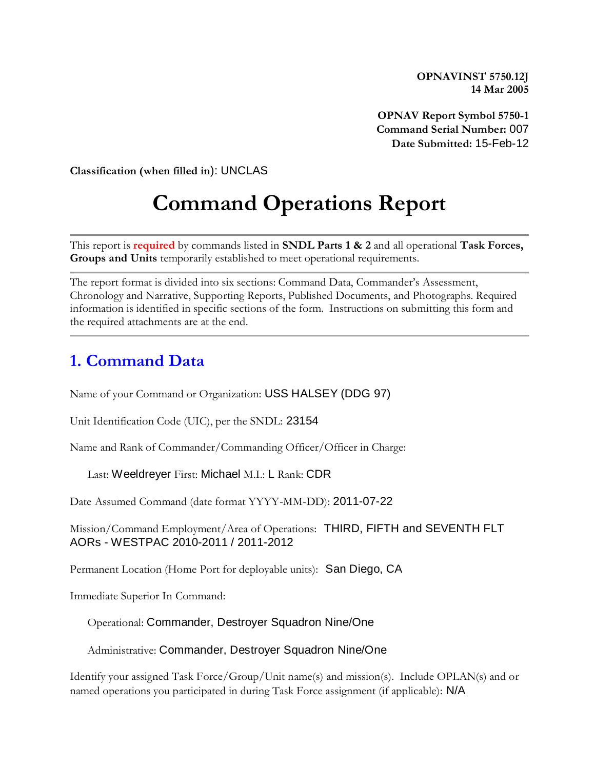**OPNAVINST 5750.12J 14 Mar 2005**

**OPNAV Report Symbol 5750-1 Command Serial Number:** 007 **Date Submitted:** 15-Feb-12

**Classification (when filled in**): UNCLAS

# **Command Operations Report**

This report is **required** by commands listed in **SNDL Parts 1 & 2** and all operational **Task Forces, Groups and Units** temporarily established to meet operational requirements.

The report format is divided into six sections: Command Data, Commander's Assessment, Chronology and Narrative, Supporting Reports, Published Documents, and Photographs. Required information is identified in specific sections of the form. Instructions on submitting this form and the required attachments are at the end.

### **1. Command Data**

Name of your Command or Organization: USS HALSEY (DDG 97)

Unit Identification Code (UIC), per the SNDL: 23154

Name and Rank of Commander/Commanding Officer/Officer in Charge:

Last: Weeldreyer First: Michael M.I.: L Rank: CDR

Date Assumed Command (date format YYYY-MM-DD): 2011-07-22

Mission/Command Employment/Area of Operations: THIRD, FIFTH and SEVENTH FLT AORs - WESTPAC 2010-2011 / 2011-2012

Permanent Location (Home Port for deployable units): San Diego, CA

Immediate Superior In Command:

Operational: Commander, Destroyer Squadron Nine/One

Administrative: Commander, Destroyer Squadron Nine/One

Identify your assigned Task Force/Group/Unit name(s) and mission(s). Include OPLAN(s) and or named operations you participated in during Task Force assignment (if applicable): N/A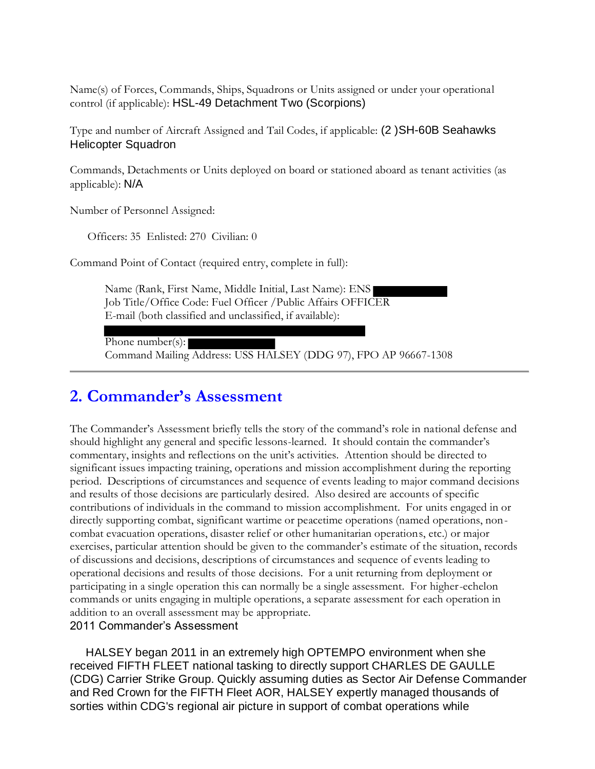Name(s) of Forces, Commands, Ships, Squadrons or Units assigned or under your operational control (if applicable): HSL-49 Detachment Two (Scorpions)

Type and number of Aircraft Assigned and Tail Codes, if applicable: (2 )SH-60B Seahawks Helicopter Squadron

Commands, Detachments or Units deployed on board or stationed aboard as tenant activities (as applicable): N/A

Number of Personnel Assigned:

Officers: 35 Enlisted: 270 Civilian: 0

Command Point of Contact (required entry, complete in full):

Name (Rank, First Name, Middle Initial, Last Name): ENS Job Title/Office Code: Fuel Officer /Public Affairs OFFICER E-mail (both classified and unclassified, if available):

Phone number(s):

Command Mailing Address: USS HALSEY (DDG 97), FPO AP 96667-1308

### **2. Commander's Assessment**

The Commander's Assessment briefly tells the story of the command's role in national defense and should highlight any general and specific lessons-learned. It should contain the commander's commentary, insights and reflections on the unit's activities. Attention should be directed to significant issues impacting training, operations and mission accomplishment during the reporting period. Descriptions of circumstances and sequence of events leading to major command decisions and results of those decisions are particularly desired. Also desired are accounts of specific contributions of individuals in the command to mission accomplishment. For units engaged in or directly supporting combat, significant wartime or peacetime operations (named operations, noncombat evacuation operations, disaster relief or other humanitarian operations, etc.) or major exercises, particular attention should be given to the commander's estimate of the situation, records of discussions and decisions, descriptions of circumstances and sequence of events leading to operational decisions and results of those decisions. For a unit returning from deployment or participating in a single operation this can normally be a single assessment. For higher-echelon commands or units engaging in multiple operations, a separate assessment for each operation in addition to an overall assessment may be appropriate.

#### 2011 Commander's Assessment

 HALSEY began 2011 in an extremely high OPTEMPO environment when she received FIFTH FLEET national tasking to directly support CHARLES DE GAULLE (CDG) Carrier Strike Group. Quickly assuming duties as Sector Air Defense Commander and Red Crown for the FIFTH Fleet AOR, HALSEY expertly managed thousands of sorties within CDG's regional air picture in support of combat operations while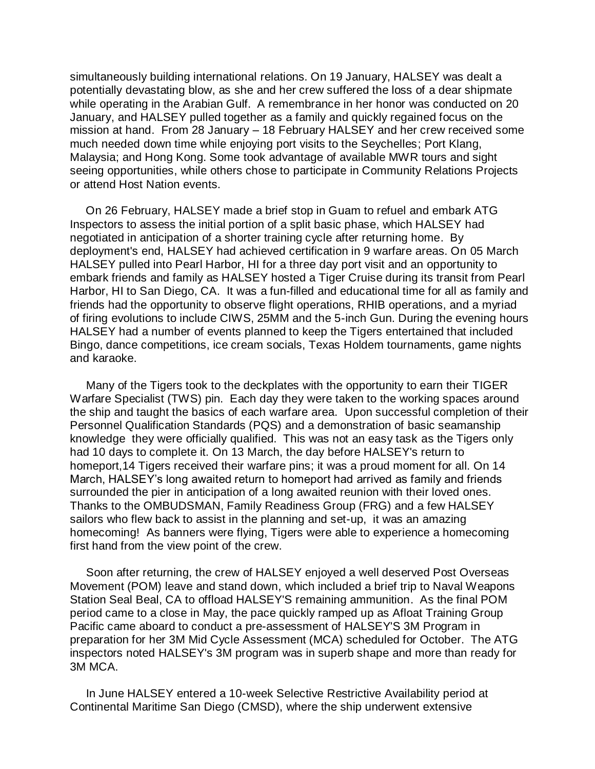simultaneously building international relations. On 19 January, HALSEY was dealt a potentially devastating blow, as she and her crew suffered the loss of a dear shipmate while operating in the Arabian Gulf. A remembrance in her honor was conducted on 20 January, and HALSEY pulled together as a family and quickly regained focus on the mission at hand. From 28 January – 18 February HALSEY and her crew received some much needed down time while enjoying port visits to the Seychelles; Port Klang, Malaysia; and Hong Kong. Some took advantage of available MWR tours and sight seeing opportunities, while others chose to participate in Community Relations Projects or attend Host Nation events.

 On 26 February, HALSEY made a brief stop in Guam to refuel and embark ATG Inspectors to assess the initial portion of a split basic phase, which HALSEY had negotiated in anticipation of a shorter training cycle after returning home. By deployment's end, HALSEY had achieved certification in 9 warfare areas. On 05 March HALSEY pulled into Pearl Harbor, HI for a three day port visit and an opportunity to embark friends and family as HALSEY hosted a Tiger Cruise during its transit from Pearl Harbor, HI to San Diego, CA. It was a fun-filled and educational time for all as family and friends had the opportunity to observe flight operations, RHIB operations, and a myriad of firing evolutions to include CIWS, 25MM and the 5-inch Gun. During the evening hours HALSEY had a number of events planned to keep the Tigers entertained that included Bingo, dance competitions, ice cream socials, Texas Holdem tournaments, game nights and karaoke.

 Many of the Tigers took to the deckplates with the opportunity to earn their TIGER Warfare Specialist (TWS) pin. Each day they were taken to the working spaces around the ship and taught the basics of each warfare area. Upon successful completion of their Personnel Qualification Standards (PQS) and a demonstration of basic seamanship knowledge they were officially qualified. This was not an easy task as the Tigers only had 10 days to complete it. On 13 March, the day before HALSEY's return to homeport,14 Tigers received their warfare pins; it was a proud moment for all. On 14 March, HALSEY's long awaited return to homeport had arrived as family and friends surrounded the pier in anticipation of a long awaited reunion with their loved ones. Thanks to the OMBUDSMAN, Family Readiness Group (FRG) and a few HALSEY sailors who flew back to assist in the planning and set-up, it was an amazing homecoming! As banners were flying, Tigers were able to experience a homecoming first hand from the view point of the crew.

 Soon after returning, the crew of HALSEY enjoyed a well deserved Post Overseas Movement (POM) leave and stand down, which included a brief trip to Naval Weapons Station Seal Beal, CA to offload HALSEY'S remaining ammunition. As the final POM period came to a close in May, the pace quickly ramped up as Afloat Training Group Pacific came aboard to conduct a pre-assessment of HALSEY'S 3M Program in preparation for her 3M Mid Cycle Assessment (MCA) scheduled for October. The ATG inspectors noted HALSEY's 3M program was in superb shape and more than ready for 3M MCA.

 In June HALSEY entered a 10-week Selective Restrictive Availability period at Continental Maritime San Diego (CMSD), where the ship underwent extensive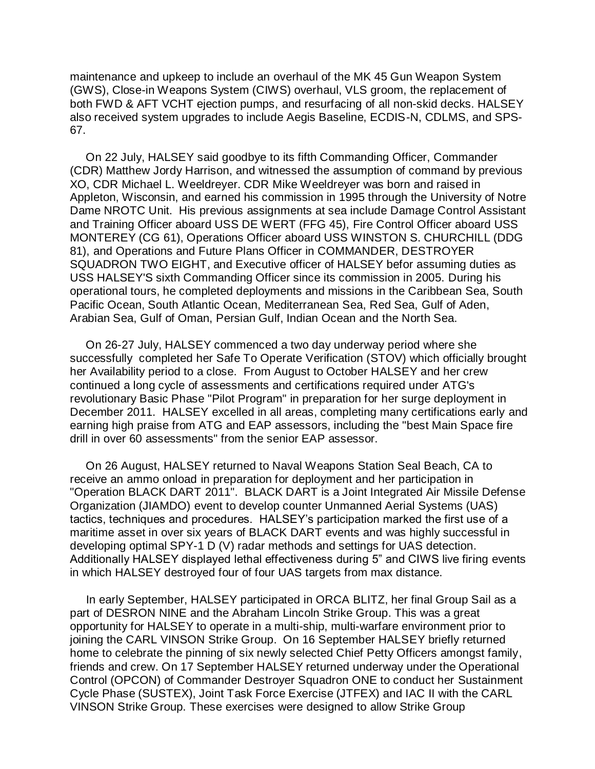maintenance and upkeep to include an overhaul of the MK 45 Gun Weapon System (GWS), Close-in Weapons System (CIWS) overhaul, VLS groom, the replacement of both FWD & AFT VCHT ejection pumps, and resurfacing of all non-skid decks. HALSEY also received system upgrades to include Aegis Baseline, ECDIS-N, CDLMS, and SPS-67.

 On 22 July, HALSEY said goodbye to its fifth Commanding Officer, Commander (CDR) Matthew Jordy Harrison, and witnessed the assumption of command by previous XO, CDR Michael L. Weeldreyer. CDR Mike Weeldreyer was born and raised in Appleton, Wisconsin, and earned his commission in 1995 through the University of Notre Dame NROTC Unit. His previous assignments at sea include Damage Control Assistant and Training Officer aboard USS DE WERT (FFG 45), Fire Control Officer aboard USS MONTEREY (CG 61), Operations Officer aboard USS WINSTON S. CHURCHILL (DDG 81), and Operations and Future Plans Officer in COMMANDER, DESTROYER SQUADRON TWO EIGHT, and Executive officer of HALSEY befor assuming duties as USS HALSEY'S sixth Commanding Officer since its commission in 2005. During his operational tours, he completed deployments and missions in the Caribbean Sea, South Pacific Ocean, South Atlantic Ocean, Mediterranean Sea, Red Sea, Gulf of Aden, Arabian Sea, Gulf of Oman, Persian Gulf, Indian Ocean and the North Sea.

 On 26-27 July, HALSEY commenced a two day underway period where she successfully completed her Safe To Operate Verification (STOV) which officially brought her Availability period to a close. From August to October HALSEY and her crew continued a long cycle of assessments and certifications required under ATG's revolutionary Basic Phase "Pilot Program" in preparation for her surge deployment in December 2011. HALSEY excelled in all areas, completing many certifications early and earning high praise from ATG and EAP assessors, including the "best Main Space fire drill in over 60 assessments" from the senior EAP assessor.

 On 26 August, HALSEY returned to Naval Weapons Station Seal Beach, CA to receive an ammo onload in preparation for deployment and her participation in "Operation BLACK DART 2011". BLACK DART is a Joint Integrated Air Missile Defense Organization (JIAMDO) event to develop counter Unmanned Aerial Systems (UAS) tactics, techniques and procedures. HALSEY's participation marked the first use of a maritime asset in over six years of BLACK DART events and was highly successful in developing optimal SPY-1 D (V) radar methods and settings for UAS detection. Additionally HALSEY displayed lethal effectiveness during 5" and CIWS live firing events in which HALSEY destroyed four of four UAS targets from max distance.

 In early September, HALSEY participated in ORCA BLITZ, her final Group Sail as a part of DESRON NINE and the Abraham Lincoln Strike Group. This was a great opportunity for HALSEY to operate in a multi-ship, multi-warfare environment prior to joining the CARL VINSON Strike Group. On 16 September HALSEY briefly returned home to celebrate the pinning of six newly selected Chief Petty Officers amongst family, friends and crew. On 17 September HALSEY returned underway under the Operational Control (OPCON) of Commander Destroyer Squadron ONE to conduct her Sustainment Cycle Phase (SUSTEX), Joint Task Force Exercise (JTFEX) and IAC II with the CARL VINSON Strike Group. These exercises were designed to allow Strike Group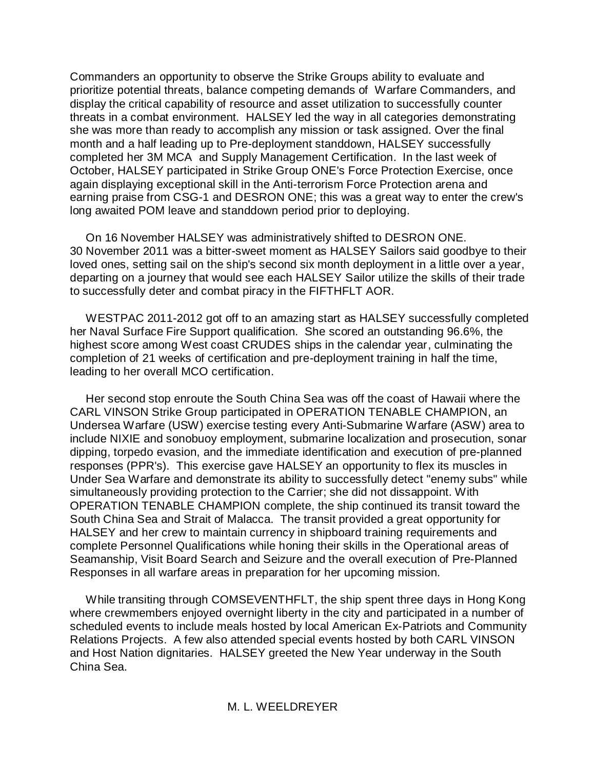Commanders an opportunity to observe the Strike Groups ability to evaluate and prioritize potential threats, balance competing demands of Warfare Commanders, and display the critical capability of resource and asset utilization to successfully counter threats in a combat environment. HALSEY led the way in all categories demonstrating she was more than ready to accomplish any mission or task assigned. Over the final month and a half leading up to Pre-deployment standdown, HALSEY successfully completed her 3M MCA and Supply Management Certification. In the last week of October, HALSEY participated in Strike Group ONE's Force Protection Exercise, once again displaying exceptional skill in the Anti-terrorism Force Protection arena and earning praise from CSG-1 and DESRON ONE; this was a great way to enter the crew's long awaited POM leave and standdown period prior to deploying.

 On 16 November HALSEY was administratively shifted to DESRON ONE. 30 November 2011 was a bitter-sweet moment as HALSEY Sailors said goodbye to their loved ones, setting sail on the ship's second six month deployment in a little over a year, departing on a journey that would see each HALSEY Sailor utilize the skills of their trade to successfully deter and combat piracy in the FIFTHFLT AOR.

 WESTPAC 2011-2012 got off to an amazing start as HALSEY successfully completed her Naval Surface Fire Support qualification. She scored an outstanding 96.6%, the highest score among West coast CRUDES ships in the calendar year, culminating the completion of 21 weeks of certification and pre-deployment training in half the time, leading to her overall MCO certification.

 Her second stop enroute the South China Sea was off the coast of Hawaii where the CARL VINSON Strike Group participated in OPERATION TENABLE CHAMPION, an Undersea Warfare (USW) exercise testing every Anti-Submarine Warfare (ASW) area to include NIXIE and sonobuoy employment, submarine localization and prosecution, sonar dipping, torpedo evasion, and the immediate identification and execution of pre-planned responses (PPR's). This exercise gave HALSEY an opportunity to flex its muscles in Under Sea Warfare and demonstrate its ability to successfully detect "enemy subs" while simultaneously providing protection to the Carrier; she did not dissappoint. With OPERATION TENABLE CHAMPION complete, the ship continued its transit toward the South China Sea and Strait of Malacca. The transit provided a great opportunity for HALSEY and her crew to maintain currency in shipboard training requirements and complete Personnel Qualifications while honing their skills in the Operational areas of Seamanship, Visit Board Search and Seizure and the overall execution of Pre-Planned Responses in all warfare areas in preparation for her upcoming mission.

 While transiting through COMSEVENTHFLT, the ship spent three days in Hong Kong where crewmembers enjoyed overnight liberty in the city and participated in a number of scheduled events to include meals hosted by local American Ex-Patriots and Community Relations Projects. A few also attended special events hosted by both CARL VINSON and Host Nation dignitaries. HALSEY greeted the New Year underway in the South China Sea.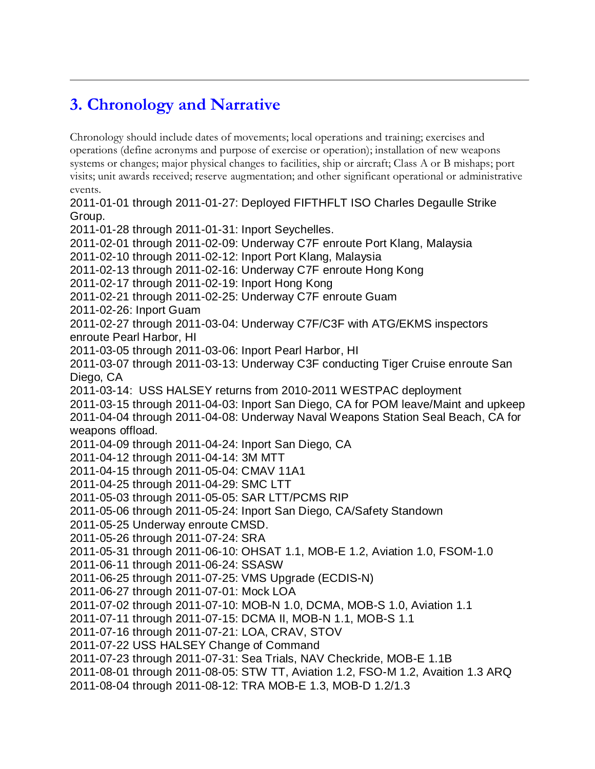## **3. Chronology and Narrative**

Chronology should include dates of movements; local operations and training; exercises and operations (define acronyms and purpose of exercise or operation); installation of new weapons systems or changes; major physical changes to facilities, ship or aircraft; Class A or B mishaps; port visits; unit awards received; reserve augmentation; and other significant operational or administrative events. 2011-01-01 through 2011-01-27: Deployed FIFTHFLT ISO Charles Degaulle Strike Group. 2011-01-28 through 2011-01-31: Inport Seychelles. 2011-02-01 through 2011-02-09: Underway C7F enroute Port Klang, Malaysia 2011-02-10 through 2011-02-12: Inport Port Klang, Malaysia 2011-02-13 through 2011-02-16: Underway C7F enroute Hong Kong 2011-02-17 through 2011-02-19: Inport Hong Kong 2011-02-21 through 2011-02-25: Underway C7F enroute Guam 2011-02-26: Inport Guam 2011-02-27 through 2011-03-04: Underway C7F/C3F with ATG/EKMS inspectors enroute Pearl Harbor, HI 2011-03-05 through 2011-03-06: Inport Pearl Harbor, HI 2011-03-07 through 2011-03-13: Underway C3F conducting Tiger Cruise enroute San Diego, CA 2011-03-14: USS HALSEY returns from 2010-2011 WESTPAC deployment 2011-03-15 through 2011-04-03: Inport San Diego, CA for POM leave/Maint and upkeep 2011-04-04 through 2011-04-08: Underway Naval Weapons Station Seal Beach, CA for weapons offload. 2011-04-09 through 2011-04-24: Inport San Diego, CA 2011-04-12 through 2011-04-14: 3M MTT 2011-04-15 through 2011-05-04: CMAV 11A1 2011-04-25 through 2011-04-29: SMC LTT 2011-05-03 through 2011-05-05: SAR LTT/PCMS RIP 2011-05-06 through 2011-05-24: Inport San Diego, CA/Safety Standown 2011-05-25 Underway enroute CMSD. 2011-05-26 through 2011-07-24: SRA 2011-05-31 through 2011-06-10: OHSAT 1.1, MOB-E 1.2, Aviation 1.0, FSOM-1.0 2011-06-11 through 2011-06-24: SSASW 2011-06-25 through 2011-07-25: VMS Upgrade (ECDIS-N) 2011-06-27 through 2011-07-01: Mock LOA 2011-07-02 through 2011-07-10: MOB-N 1.0, DCMA, MOB-S 1.0, Aviation 1.1 2011-07-11 through 2011-07-15: DCMA II, MOB-N 1.1, MOB-S 1.1 2011-07-16 through 2011-07-21: LOA, CRAV, STOV 2011-07-22 USS HALSEY Change of Command 2011-07-23 through 2011-07-31: Sea Trials, NAV Checkride, MOB-E 1.1B 2011-08-01 through 2011-08-05: STW TT, Aviation 1.2, FSO-M 1.2, Avaition 1.3 ARQ 2011-08-04 through 2011-08-12: TRA MOB-E 1.3, MOB-D 1.2/1.3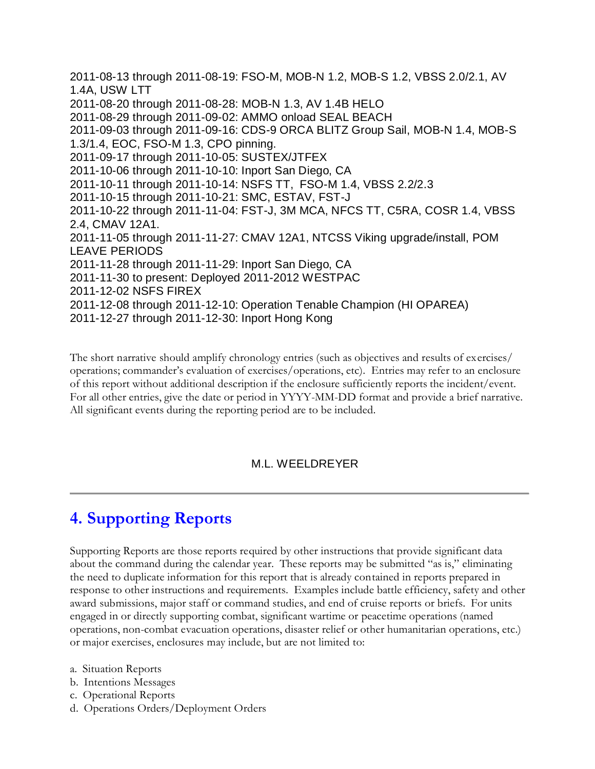2011-08-13 through 2011-08-19: FSO-M, MOB-N 1.2, MOB-S 1.2, VBSS 2.0/2.1, AV 1.4A, USW LTT 2011-08-20 through 2011-08-28: MOB-N 1.3, AV 1.4B HELO 2011-08-29 through 2011-09-02: AMMO onload SEAL BEACH 2011-09-03 through 2011-09-16: CDS-9 ORCA BLITZ Group Sail, MOB-N 1.4, MOB-S 1.3/1.4, EOC, FSO-M 1.3, CPO pinning. 2011-09-17 through 2011-10-05: SUSTEX/JTFEX 2011-10-06 through 2011-10-10: Inport San Diego, CA 2011-10-11 through 2011-10-14: NSFS TT, FSO-M 1.4, VBSS 2.2/2.3 2011-10-15 through 2011-10-21: SMC, ESTAV, FST-J 2011-10-22 through 2011-11-04: FST-J, 3M MCA, NFCS TT, C5RA, COSR 1.4, VBSS 2.4, CMAV 12A1. 2011-11-05 through 2011-11-27: CMAV 12A1, NTCSS Viking upgrade/install, POM LEAVE PERIODS 2011-11-28 through 2011-11-29: Inport San Diego, CA 2011-11-30 to present: Deployed 2011-2012 WESTPAC 2011-12-02 NSFS FIREX 2011-12-08 through 2011-12-10: Operation Tenable Champion (HI OPAREA) 2011-12-27 through 2011-12-30: Inport Hong Kong

The short narrative should amplify chronology entries (such as objectives and results of exercises/ operations; commander's evaluation of exercises/operations, etc). Entries may refer to an enclosure of this report without additional description if the enclosure sufficiently reports the incident/event. For all other entries, give the date or period in YYYY-MM-DD format and provide a brief narrative. All significant events during the reporting period are to be included.

#### M.L. WEELDREYER

### **4. Supporting Reports**

Supporting Reports are those reports required by other instructions that provide significant data about the command during the calendar year. These reports may be submitted "as is," eliminating the need to duplicate information for this report that is already contained in reports prepared in response to other instructions and requirements. Examples include battle efficiency, safety and other award submissions, major staff or command studies, and end of cruise reports or briefs. For units engaged in or directly supporting combat, significant wartime or peacetime operations (named operations, non-combat evacuation operations, disaster relief or other humanitarian operations, etc.) or major exercises, enclosures may include, but are not limited to:

- a. Situation Reports
- b. Intentions Messages
- c. Operational Reports
- d. Operations Orders/Deployment Orders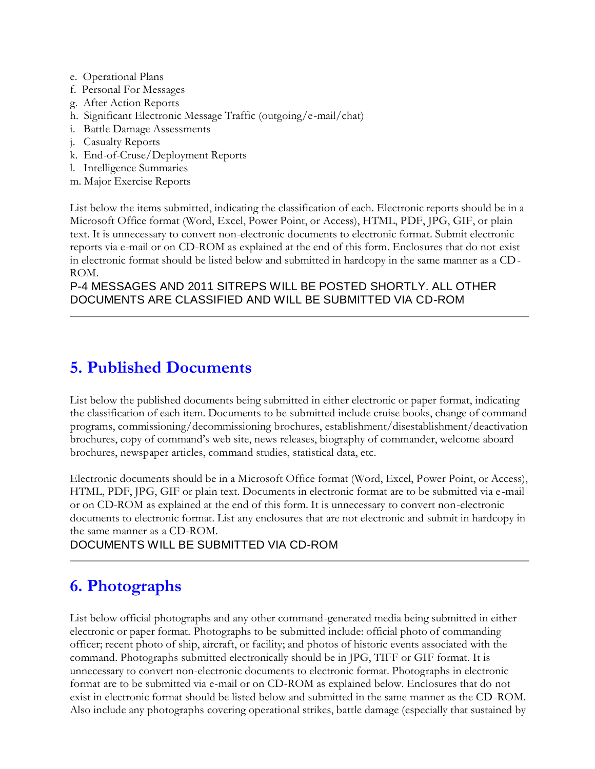- e. Operational Plans
- f. Personal For Messages
- g. After Action Reports
- h. Significant Electronic Message Traffic (outgoing/e-mail/chat)
- i. Battle Damage Assessments
- j. Casualty Reports
- k. End-of-Cruse/Deployment Reports
- l. Intelligence Summaries
- m. Major Exercise Reports

List below the items submitted, indicating the classification of each. Electronic reports should be in a Microsoft Office format (Word, Excel, Power Point, or Access), HTML, PDF, JPG, GIF, or plain text. It is unnecessary to convert non-electronic documents to electronic format. Submit electronic reports via e-mail or on CD-ROM as explained at the end of this form. Enclosures that do not exist in electronic format should be listed below and submitted in hardcopy in the same manner as a CD-ROM.

#### P-4 MESSAGES AND 2011 SITREPS WILL BE POSTED SHORTLY. ALL OTHER DOCUMENTS ARE CLASSIFIED AND WILL BE SUBMITTED VIA CD-ROM

### **5. Published Documents**

List below the published documents being submitted in either electronic or paper format, indicating the classification of each item. Documents to be submitted include cruise books, change of command programs, commissioning/decommissioning brochures, establishment/disestablishment/deactivation brochures, copy of command's web site, news releases, biography of commander, welcome aboard brochures, newspaper articles, command studies, statistical data, etc.

Electronic documents should be in a Microsoft Office format (Word, Excel, Power Point, or Access), HTML, PDF, JPG, GIF or plain text. Documents in electronic format are to be submitted via e -mail or on CD-ROM as explained at the end of this form. It is unnecessary to convert non-electronic documents to electronic format. List any enclosures that are not electronic and submit in hardcopy in the same manner as a CD-ROM.

#### DOCUMENTS WILL BE SUBMITTED VIA CD-ROM

### **6. Photographs**

List below official photographs and any other command-generated media being submitted in either electronic or paper format. Photographs to be submitted include: official photo of commanding officer; recent photo of ship, aircraft, or facility; and photos of historic events associated with the command. Photographs submitted electronically should be in JPG, TIFF or GIF format. It is unnecessary to convert non-electronic documents to electronic format. Photographs in electronic format are to be submitted via e-mail or on CD-ROM as explained below. Enclosures that do not exist in electronic format should be listed below and submitted in the same manner as the CD-ROM. Also include any photographs covering operational strikes, battle damage (especially that sustained by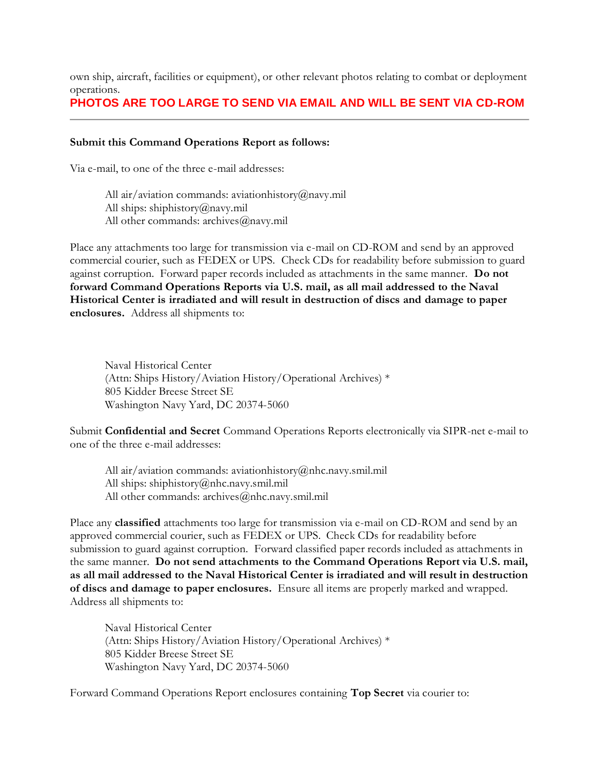own ship, aircraft, facilities or equipment), or other relevant photos relating to combat or deployment operations.

#### **PHOTOS ARE TOO LARGE TO SEND VIA EMAIL AND WILL BE SENT VIA CD-ROM**

#### **Submit this Command Operations Report as follows:**

Via e-mail, to one of the three e-mail addresses:

All air/aviation commands: aviationhistory@navy.mil All ships: shiphistory@navy.mil All other commands: archives@navy.mil

Place any attachments too large for transmission via e-mail on CD-ROM and send by an approved commercial courier, such as FEDEX or UPS. Check CDs for readability before submission to guard against corruption. Forward paper records included as attachments in the same manner. **Do not forward Command Operations Reports via U.S. mail, as all mail addressed to the Naval Historical Center is irradiated and will result in destruction of discs and damage to paper enclosures.** Address all shipments to:

Naval Historical Center (Attn: Ships History/Aviation History/Operational Archives) \* 805 Kidder Breese Street SE Washington Navy Yard, DC 20374-5060

Submit **Confidential and Secret** Command Operations Reports electronically via SIPR-net e-mail to one of the three e-mail addresses:

All air/aviation commands: aviationhistory@nhc.navy.smil.mil All ships: shiphistory@nhc.navy.smil.mil All other commands: archives@nhc.navy.smil.mil

Place any **classified** attachments too large for transmission via e-mail on CD-ROM and send by an approved commercial courier, such as FEDEX or UPS. Check CDs for readability before submission to guard against corruption. Forward classified paper records included as attachments in the same manner. **Do not send attachments to the Command Operations Report via U.S. mail, as all mail addressed to the Naval Historical Center is irradiated and will result in destruction of discs and damage to paper enclosures.** Ensure all items are properly marked and wrapped. Address all shipments to:

Naval Historical Center (Attn: Ships History/Aviation History/Operational Archives) \* 805 Kidder Breese Street SE Washington Navy Yard, DC 20374-5060

Forward Command Operations Report enclosures containing **Top Secret** via courier to: